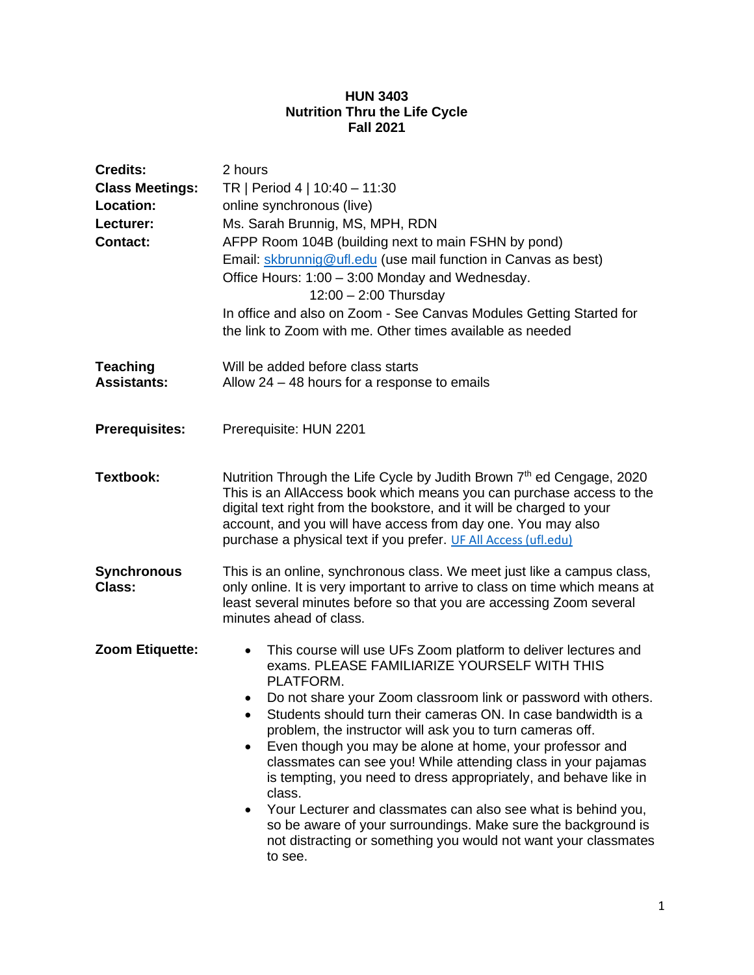#### **HUN 3403 Nutrition Thru the Life Cycle Fall 2021**

| <b>Credits:</b><br><b>Class Meetings:</b><br>Location:<br>Lecturer:<br><b>Contact:</b> | 2 hours<br>TR   Period 4   10:40 - 11:30<br>online synchronous (live)<br>Ms. Sarah Brunnig, MS, MPH, RDN<br>AFPP Room 104B (building next to main FSHN by pond)<br>Email: skbrunnig@ufl.edu (use mail function in Canvas as best)<br>Office Hours: 1:00 - 3:00 Monday and Wednesday.<br>$12:00 - 2:00$ Thursday<br>In office and also on Zoom - See Canvas Modules Getting Started for<br>the link to Zoom with me. Other times available as needed                                                                                                                                                                                                                                                                                                                 |  |  |
|----------------------------------------------------------------------------------------|---------------------------------------------------------------------------------------------------------------------------------------------------------------------------------------------------------------------------------------------------------------------------------------------------------------------------------------------------------------------------------------------------------------------------------------------------------------------------------------------------------------------------------------------------------------------------------------------------------------------------------------------------------------------------------------------------------------------------------------------------------------------|--|--|
| <b>Teaching</b><br><b>Assistants:</b>                                                  | Will be added before class starts<br>Allow $24 - 48$ hours for a response to emails                                                                                                                                                                                                                                                                                                                                                                                                                                                                                                                                                                                                                                                                                 |  |  |
| <b>Prerequisites:</b>                                                                  | Prerequisite: HUN 2201                                                                                                                                                                                                                                                                                                                                                                                                                                                                                                                                                                                                                                                                                                                                              |  |  |
| <b>Textbook:</b>                                                                       | Nutrition Through the Life Cycle by Judith Brown 7 <sup>th</sup> ed Cengage, 2020<br>This is an AllAccess book which means you can purchase access to the<br>digital text right from the bookstore, and it will be charged to your<br>account, and you will have access from day one. You may also<br>purchase a physical text if you prefer. UF All Access (ufl.edu)                                                                                                                                                                                                                                                                                                                                                                                               |  |  |
| <b>Synchronous</b><br>Class:                                                           | This is an online, synchronous class. We meet just like a campus class,<br>only online. It is very important to arrive to class on time which means at<br>least several minutes before so that you are accessing Zoom several<br>minutes ahead of class.                                                                                                                                                                                                                                                                                                                                                                                                                                                                                                            |  |  |
| Zoom Etiquette:                                                                        | This course will use UFs Zoom platform to deliver lectures and<br>$\bullet$<br>exams. PLEASE FAMILIARIZE YOURSELF WITH THIS<br>PLATFORM.<br>Do not share your Zoom classroom link or password with others.<br>Students should turn their cameras ON. In case bandwidth is a<br>problem, the instructor will ask you to turn cameras off.<br>Even though you may be alone at home, your professor and<br>classmates can see you! While attending class in your pajamas<br>is tempting, you need to dress appropriately, and behave like in<br>class.<br>Your Lecturer and classmates can also see what is behind you,<br>so be aware of your surroundings. Make sure the background is<br>not distracting or something you would not want your classmates<br>to see. |  |  |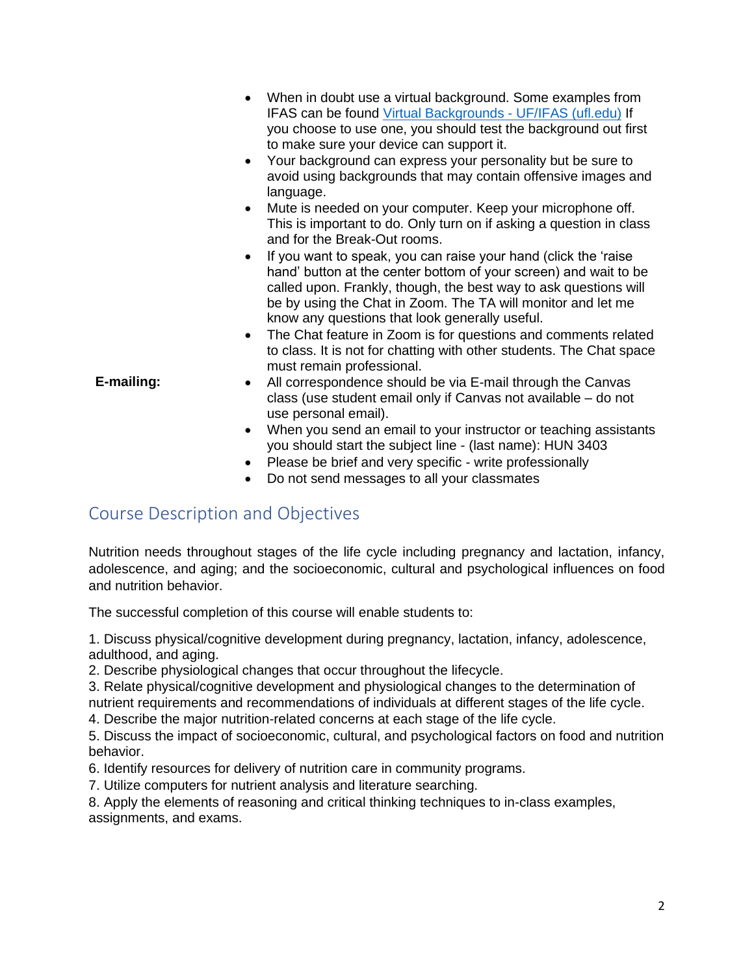|            | When in doubt use a virtual background. Some examples from<br>$\bullet$<br>IFAS can be found Virtual Backgrounds - UF/IFAS (ufl.edu) If<br>you choose to use one, you should test the background out first<br>to make sure your device can support it.<br>Your background can express your personality but be sure to<br>$\bullet$<br>avoid using backgrounds that may contain offensive images and<br>language.                                                                              |
|------------|-----------------------------------------------------------------------------------------------------------------------------------------------------------------------------------------------------------------------------------------------------------------------------------------------------------------------------------------------------------------------------------------------------------------------------------------------------------------------------------------------|
|            | Mute is needed on your computer. Keep your microphone off.<br>$\bullet$<br>This is important to do. Only turn on if asking a question in class<br>and for the Break-Out rooms.                                                                                                                                                                                                                                                                                                                |
|            | If you want to speak, you can raise your hand (click the 'raise<br>$\bullet$<br>hand' button at the center bottom of your screen) and wait to be<br>called upon. Frankly, though, the best way to ask questions will<br>be by using the Chat in Zoom. The TA will monitor and let me<br>know any questions that look generally useful.<br>The Chat feature in Zoom is for questions and comments related<br>$\bullet$<br>to class. It is not for chatting with other students. The Chat space |
|            | must remain professional.                                                                                                                                                                                                                                                                                                                                                                                                                                                                     |
| E-mailing: | All correspondence should be via E-mail through the Canvas<br>$\bullet$<br>class (use student email only if Canvas not available – do not<br>use personal email).                                                                                                                                                                                                                                                                                                                             |
|            | When you send an email to your instructor or teaching assistants<br>$\bullet$<br>you should start the subject line - (last name): HUN 3403                                                                                                                                                                                                                                                                                                                                                    |

- Please be brief and very specific write professionally
- Do not send messages to all your classmates

## Course Description and Objectives

Nutrition needs throughout stages of the life cycle including pregnancy and lactation, infancy, adolescence, and aging; and the socioeconomic, cultural and psychological influences on food and nutrition behavior.

The successful completion of this course will enable students to:

1. Discuss physical/cognitive development during pregnancy, lactation, infancy, adolescence, adulthood, and aging.

2. Describe physiological changes that occur throughout the lifecycle.

3. Relate physical/cognitive development and physiological changes to the determination of nutrient requirements and recommendations of individuals at different stages of the life cycle.

4. Describe the major nutrition-related concerns at each stage of the life cycle.

5. Discuss the impact of socioeconomic, cultural, and psychological factors on food and nutrition behavior.

6. Identify resources for delivery of nutrition care in community programs.

7. Utilize computers for nutrient analysis and literature searching.

8. Apply the elements of reasoning and critical thinking techniques to in-class examples, assignments, and exams.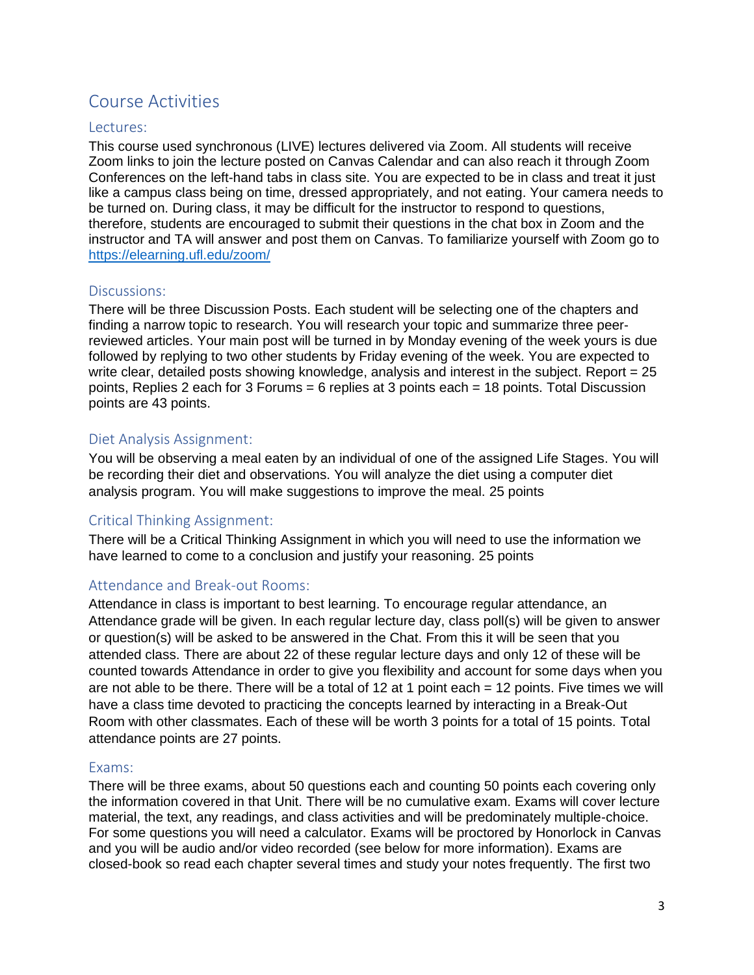# Course Activities

#### Lectures:

This course used synchronous (LIVE) lectures delivered via Zoom. All students will receive Zoom links to join the lecture posted on Canvas Calendar and can also reach it through Zoom Conferences on the left-hand tabs in class site. You are expected to be in class and treat it just like a campus class being on time, dressed appropriately, and not eating. Your camera needs to be turned on. During class, it may be difficult for the instructor to respond to questions, therefore, students are encouraged to submit their questions in the chat box in Zoom and the instructor and TA will answer and post them on Canvas. To familiarize yourself with Zoom go to <https://elearning.ufl.edu/zoom/>

#### Discussions:

There will be three Discussion Posts. Each student will be selecting one of the chapters and finding a narrow topic to research. You will research your topic and summarize three peerreviewed articles. Your main post will be turned in by Monday evening of the week yours is due followed by replying to two other students by Friday evening of the week. You are expected to write clear, detailed posts showing knowledge, analysis and interest in the subject. Report = 25 points, Replies 2 each for 3 Forums = 6 replies at 3 points each = 18 points. Total Discussion points are 43 points.

### Diet Analysis Assignment:

You will be observing a meal eaten by an individual of one of the assigned Life Stages. You will be recording their diet and observations. You will analyze the diet using a computer diet analysis program. You will make suggestions to improve the meal. 25 points

#### Critical Thinking Assignment:

There will be a Critical Thinking Assignment in which you will need to use the information we have learned to come to a conclusion and justify your reasoning. 25 points

#### Attendance and Break-out Rooms:

Attendance in class is important to best learning. To encourage regular attendance, an Attendance grade will be given. In each regular lecture day, class poll(s) will be given to answer or question(s) will be asked to be answered in the Chat. From this it will be seen that you attended class. There are about 22 of these regular lecture days and only 12 of these will be counted towards Attendance in order to give you flexibility and account for some days when you are not able to be there. There will be a total of 12 at 1 point each = 12 points. Five times we will have a class time devoted to practicing the concepts learned by interacting in a Break-Out Room with other classmates. Each of these will be worth 3 points for a total of 15 points. Total attendance points are 27 points.

#### Exams:

There will be three exams, about 50 questions each and counting 50 points each covering only the information covered in that Unit. There will be no cumulative exam. Exams will cover lecture material, the text, any readings, and class activities and will be predominately multiple-choice. For some questions you will need a calculator. Exams will be proctored by Honorlock in Canvas and you will be audio and/or video recorded (see below for more information). Exams are closed-book so read each chapter several times and study your notes frequently. The first two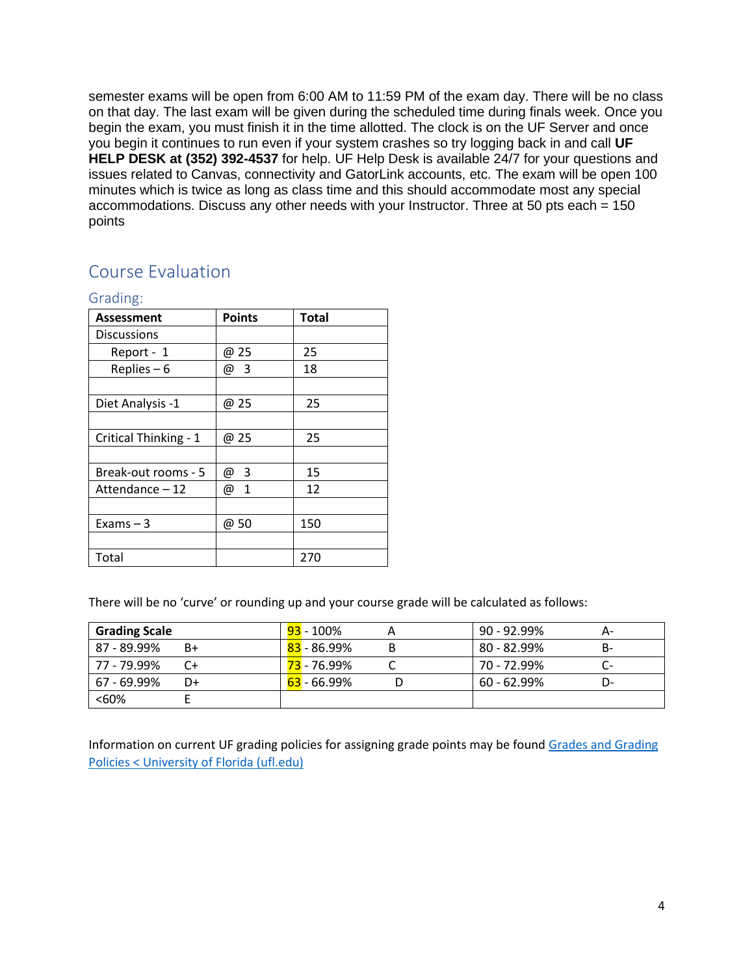semester exams will be open from 6:00 AM to 11:59 PM of the exam day. There will be no class on that day. The last exam will be given during the scheduled time during finals week. Once you begin the exam, you must finish it in the time allotted. The clock is on the UF Server and once you begin it continues to run even if your system crashes so try logging back in and call **UF HELP DESK at (352) 392-4537** for help. UF Help Desk is available 24/7 for your questions and issues related to Canvas, connectivity and GatorLink accounts, etc. The exam will be open 100 minutes which is twice as long as class time and this should accommodate most any special accommodations. Discuss any other needs with your Instructor. Three at 50 pts each = 150 points

# Course Evaluation

| <b>Assessment</b>     | <b>Points</b>       | <b>Total</b> |
|-----------------------|---------------------|--------------|
| <b>Discussions</b>    |                     |              |
| Report - 1            | @ 25                | 25           |
| Replies $-6$          | @ 3                 | 18           |
|                       |                     |              |
| Diet Analysis -1      | @ 25                | 25           |
|                       |                     |              |
| Critical Thinking - 1 | @ 25                | 25           |
|                       |                     |              |
| Break-out rooms - 5   | -3<br>@             | 15           |
| Attendance - 12       | $\overline{1}$<br>@ | 12           |
|                       |                     |              |
| Exams $-3$            | @ 50                | 150          |
|                       |                     |              |
| Total                 |                     | 270          |

#### Grading:

There will be no 'curve' or rounding up and your course grade will be calculated as follows:

| <b>Grading Scale</b> |    | <mark>93</mark> - 100% | $90 - 92.99\%$ | А-  |
|----------------------|----|------------------------|----------------|-----|
| 87 - 89.99%          | B+ | 83 - 86.99%            | 80 - 82.99%    |     |
| 77 - 79.99%          |    | $73 - 76.99\%$         | 70 - 72.99%    |     |
| 67 - 69.99%          | D+ | $63 - 66.99\%$         | $60 - 62.99\%$ | ∣)– |
| <60%                 |    |                        |                |     |

Information on current UF grading policies for assigning grade points may be foun[d Grades and Grading](https://catalog.ufl.edu/UGRD/academic-regulations/grades-grading-policies/)  [Policies < University of Florida \(ufl.edu\)](https://catalog.ufl.edu/UGRD/academic-regulations/grades-grading-policies/)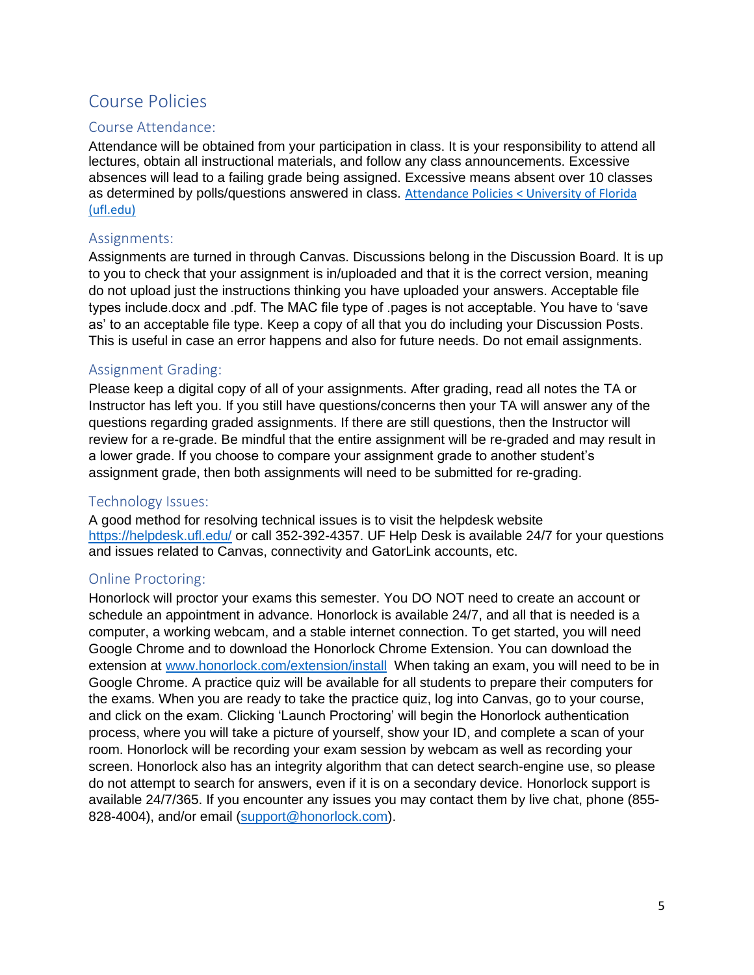## Course Policies

### Course Attendance:

Attendance will be obtained from your participation in class. It is your responsibility to attend all lectures, obtain all instructional materials, and follow any class announcements. Excessive absences will lead to a failing grade being assigned. Excessive means absent over 10 classes as determined by polls/questions answered in class. [Attendance Policies < University of Florida](https://catalog.ufl.edu/UGRD/academic-regulations/attendance-policies/)  [\(ufl.edu\)](https://catalog.ufl.edu/UGRD/academic-regulations/attendance-policies/)

#### Assignments:

Assignments are turned in through Canvas. Discussions belong in the Discussion Board. It is up to you to check that your assignment is in/uploaded and that it is the correct version, meaning do not upload just the instructions thinking you have uploaded your answers. Acceptable file types include.docx and .pdf. The MAC file type of .pages is not acceptable. You have to 'save as' to an acceptable file type. Keep a copy of all that you do including your Discussion Posts. This is useful in case an error happens and also for future needs. Do not email assignments.

### Assignment Grading:

Please keep a digital copy of all of your assignments. After grading, read all notes the TA or Instructor has left you. If you still have questions/concerns then your TA will answer any of the questions regarding graded assignments. If there are still questions, then the Instructor will review for a re-grade. Be mindful that the entire assignment will be re-graded and may result in a lower grade. If you choose to compare your assignment grade to another student's assignment grade, then both assignments will need to be submitted for re-grading.

## Technology Issues:

A good method for resolving technical issues is to visit the helpdesk website <https://helpdesk.ufl.edu/> or call 352-392-4357. UF Help Desk is available 24/7 for your questions and issues related to Canvas, connectivity and GatorLink accounts, etc.

## Online Proctoring:

Honorlock will proctor your exams this semester. You DO NOT need to create an account or schedule an appointment in advance. Honorlock is available 24/7, and all that is needed is a computer, a working webcam, and a stable internet connection. To get started, you will need Google Chrome and to download the Honorlock Chrome Extension. You can download the extension at [www.honorlock.com/extension/install](http://www.honorlock.com/extension/install) When taking an exam, you will need to be in Google Chrome. A practice quiz will be available for all students to prepare their computers for the exams. When you are ready to take the practice quiz, log into Canvas, go to your course, and click on the exam. Clicking 'Launch Proctoring' will begin the Honorlock authentication process, where you will take a picture of yourself, show your ID, and complete a scan of your room. Honorlock will be recording your exam session by webcam as well as recording your screen. Honorlock also has an integrity algorithm that can detect search-engine use, so please do not attempt to search for answers, even if it is on a secondary device. Honorlock support is available 24/7/365. If you encounter any issues you may contact them by live chat, phone (855- 828-4004), and/or email [\(support@honorlock.com\)](mailto:support@honorlock.com).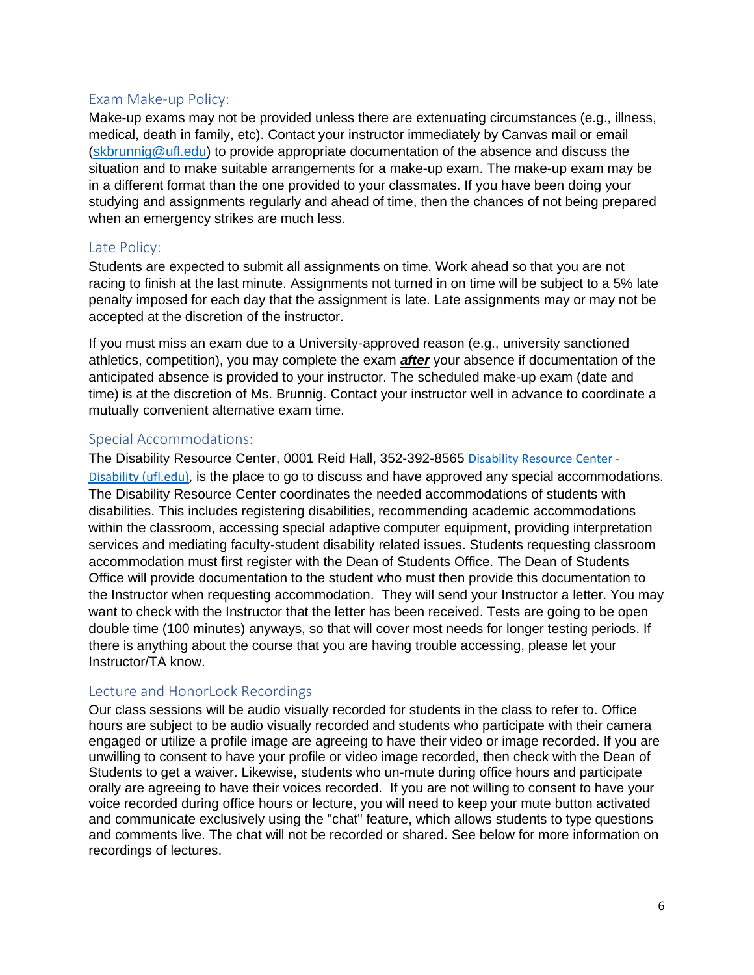## Exam Make-up Policy:

Make-up exams may not be provided unless there are extenuating circumstances (e.g., illness, medical, death in family, etc). Contact your instructor immediately by Canvas mail or email [\(skbrunnig@ufl.edu\)](mailto:skbrunnig@ufl.edu) to provide appropriate documentation of the absence and discuss the situation and to make suitable arrangements for a make-up exam. The make-up exam may be in a different format than the one provided to your classmates. If you have been doing your studying and assignments regularly and ahead of time, then the chances of not being prepared when an emergency strikes are much less.

### Late Policy:

Students are expected to submit all assignments on time. Work ahead so that you are not racing to finish at the last minute. Assignments not turned in on time will be subject to a 5% late penalty imposed for each day that the assignment is late. Late assignments may or may not be accepted at the discretion of the instructor.

If you must miss an exam due to a University-approved reason (e.g., university sanctioned athletics, competition), you may complete the exam *after* your absence if documentation of the anticipated absence is provided to your instructor. The scheduled make-up exam (date and time) is at the discretion of Ms. Brunnig. Contact your instructor well in advance to coordinate a mutually convenient alternative exam time.

### Special Accommodations:

The Disability Resource Center, 0001 Reid Hall, 352-392-8565 [Disability Resource Center -](https://disability.ufl.edu/) [Disability \(ufl.edu\),](https://disability.ufl.edu/) is the place to go to discuss and have approved any special accommodations. The Disability Resource Center coordinates the needed accommodations of students with disabilities. This includes registering disabilities, recommending academic accommodations within the classroom, accessing special adaptive computer equipment, providing interpretation services and mediating faculty-student disability related issues. Students requesting classroom accommodation must first register with the Dean of Students Office. The Dean of Students Office will provide documentation to the student who must then provide this documentation to the Instructor when requesting accommodation. They will send your Instructor a letter. You may want to check with the Instructor that the letter has been received. Tests are going to be open double time (100 minutes) anyways, so that will cover most needs for longer testing periods. If there is anything about the course that you are having trouble accessing, please let your Instructor/TA know.

## Lecture and HonorLock Recordings

Our class sessions will be audio visually recorded for students in the class to refer to. Office hours are subject to be audio visually recorded and students who participate with their camera engaged or utilize a profile image are agreeing to have their video or image recorded. If you are unwilling to consent to have your profile or video image recorded, then check with the Dean of Students to get a waiver. Likewise, students who un-mute during office hours and participate orally are agreeing to have their voices recorded. If you are not willing to consent to have your voice recorded during office hours or lecture, you will need to keep your mute button activated and communicate exclusively using the "chat" feature, which allows students to type questions and comments live. The chat will not be recorded or shared. See below for more information on recordings of lectures.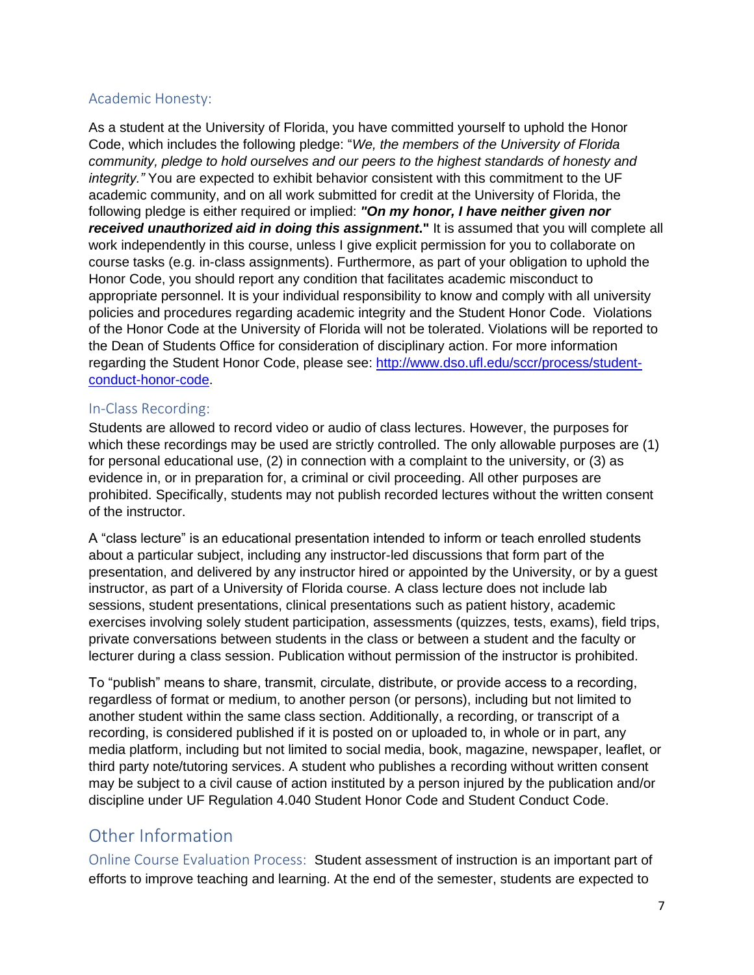## Academic Honesty:

As a student at the University of Florida, you have committed yourself to uphold the Honor Code, which includes the following pledge: "*We, the members of the University of Florida community, pledge to hold ourselves and our peers to the highest standards of honesty and integrity."* You are expected to exhibit behavior consistent with this commitment to the UF academic community, and on all work submitted for credit at the University of Florida, the following pledge is either required or implied: *"On my honor, I have neither given nor received unauthorized aid in doing this assignment***."** It is assumed that you will complete all work independently in this course, unless I give explicit permission for you to collaborate on course tasks (e.g. in-class assignments). Furthermore, as part of your obligation to uphold the Honor Code, you should report any condition that facilitates academic misconduct to appropriate personnel. It is your individual responsibility to know and comply with all university policies and procedures regarding academic integrity and the Student Honor Code. Violations of the Honor Code at the University of Florida will not be tolerated. Violations will be reported to the Dean of Students Office for consideration of disciplinary action. For more information regarding the Student Honor Code, please see: [http://www.dso.ufl.edu/sccr/process/student](http://www.dso.ufl.edu/sccr/process/student-conduct-honor-code)[conduct-honor-code.](http://www.dso.ufl.edu/sccr/process/student-conduct-honor-code)

## In-Class Recording:

Students are allowed to record video or audio of class lectures. However, the purposes for which these recordings may be used are strictly controlled. The only allowable purposes are (1) for personal educational use, (2) in connection with a complaint to the university, or (3) as evidence in, or in preparation for, a criminal or civil proceeding. All other purposes are prohibited. Specifically, students may not publish recorded lectures without the written consent of the instructor.

A "class lecture" is an educational presentation intended to inform or teach enrolled students about a particular subject, including any instructor-led discussions that form part of the presentation, and delivered by any instructor hired or appointed by the University, or by a guest instructor, as part of a University of Florida course. A class lecture does not include lab sessions, student presentations, clinical presentations such as patient history, academic exercises involving solely student participation, assessments (quizzes, tests, exams), field trips, private conversations between students in the class or between a student and the faculty or lecturer during a class session. Publication without permission of the instructor is prohibited.

To "publish" means to share, transmit, circulate, distribute, or provide access to a recording, regardless of format or medium, to another person (or persons), including but not limited to another student within the same class section. Additionally, a recording, or transcript of a recording, is considered published if it is posted on or uploaded to, in whole or in part, any media platform, including but not limited to social media, book, magazine, newspaper, leaflet, or third party note/tutoring services. A student who publishes a recording without written consent may be subject to a civil cause of action instituted by a person injured by the publication and/or discipline under UF Regulation 4.040 Student Honor Code and Student Conduct Code.

## Other Information

Online Course Evaluation Process:Student assessment of instruction is an important part of efforts to improve teaching and learning. At the end of the semester, students are expected to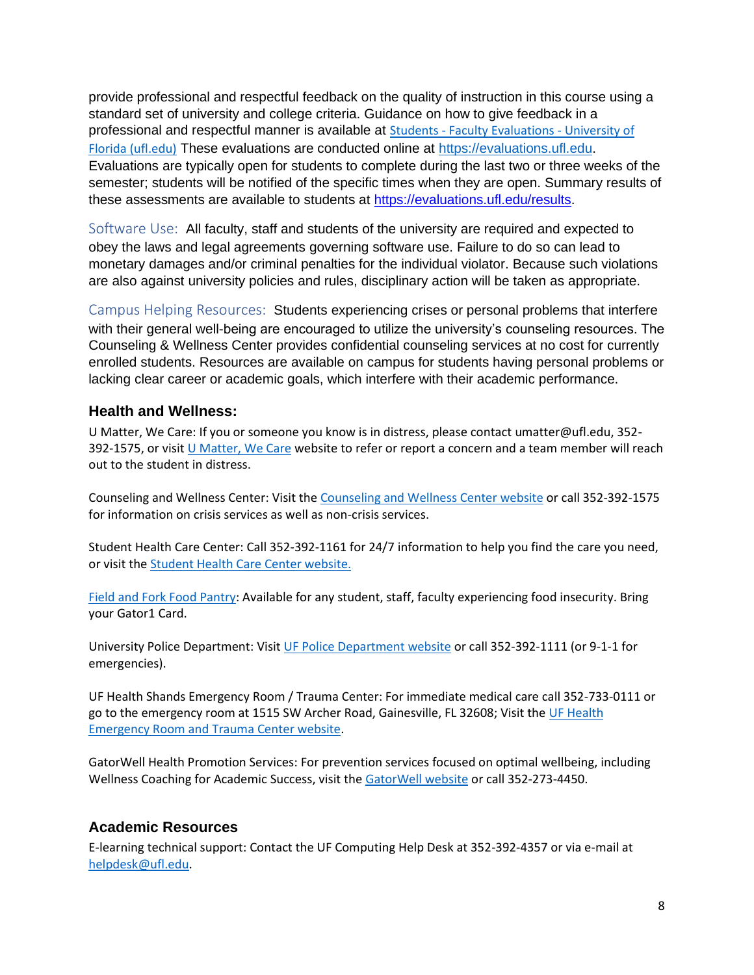provide professional and respectful feedback on the quality of instruction in this course using a standard set of university and college criteria. Guidance on how to give feedback in a professional and respectful manner is available at Students - [Faculty Evaluations -](https://gatorevals.aa.ufl.edu/students/) University of [Florida \(ufl.edu\)](https://gatorevals.aa.ufl.edu/students/) These evaluations are conducted online at [https://evaluations.ufl.edu.](https://evaluations.ufl.edu/) Evaluations are typically open for students to complete during the last two or three weeks of the semester; students will be notified of the specific times when they are open. Summary results of these assessments are available to students at [https://evaluations.ufl.edu/results.](https://evaluations.ufl.edu/results)

Software Use:All faculty, staff and students of the university are required and expected to obey the laws and legal agreements governing software use. Failure to do so can lead to monetary damages and/or criminal penalties for the individual violator. Because such violations are also against university policies and rules, disciplinary action will be taken as appropriate.

Campus Helping Resources:Students experiencing crises or personal problems that interfere with their general well-being are encouraged to utilize the university's counseling resources. The Counseling & Wellness Center provides confidential counseling services at no cost for currently enrolled students. Resources are available on campus for students having personal problems or lacking clear career or academic goals, which interfere with their academic performance.

## **Health and Wellness:**

U Matter, We Care: If you or someone you know is in distress, please contact umatter@ufl.edu, 352- 392-1575, or visit [U Matter, We Care](https://umatter.ufl.edu/) website to refer or report a concern and a team member will reach out to the student in distress.

Counseling and Wellness Center: Visit the [Counseling and Wellness Center website](https://counseling.ufl.edu/) or call 352-392-1575 for information on crisis services as well as non-crisis services.

Student Health Care Center: Call 352-392-1161 for 24/7 information to help you find the care you need, or visit the [Student Health Care Center website.](https://shcc.ufl.edu/)

[Field and Fork Food Pantry:](https://pantry.fieldandfork.ufl.edu/) Available for any student, staff, faculty experiencing food insecurity. Bring your Gator1 Card.

University Police Department: Visi[t UF Police Department website](https://police.ufl.edu/) or call 352-392-1111 (or 9-1-1 for emergencies).

UF Health Shands Emergency Room / Trauma Center: For immediate medical care call 352-733-0111 or go to the emergency room at 1515 SW Archer Road, Gainesville, FL 32608; Visit the [UF Health](https://ufhealth.org/emergency-room-trauma-center)  [Emergency Room and Trauma Center website.](https://ufhealth.org/emergency-room-trauma-center)

GatorWell Health Promotion Services: For prevention services focused on optimal wellbeing, including Wellness Coaching for Academic Success, visit the [GatorWell website](https://gatorwell.ufsa.ufl.edu/) or call 352-273-4450.

## **Academic Resources**

E-learning technical support: Contact the UF Computing Help Desk at 352-392-4357 or via e-mail at [helpdesk@ufl.edu.](mailto:helpdesk@ufl.edu)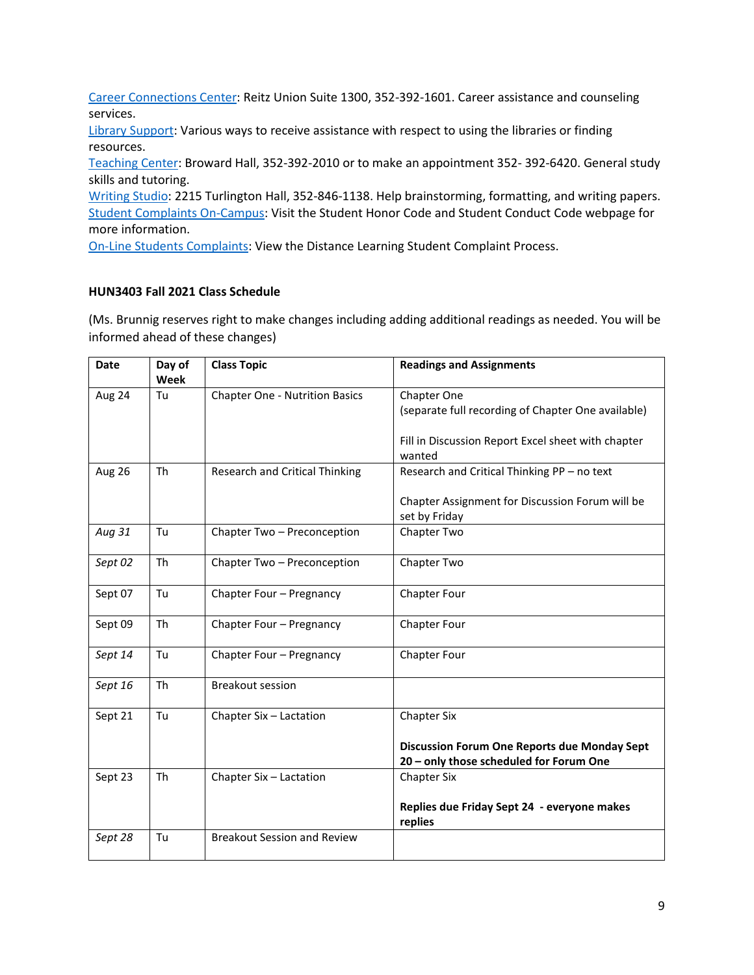[Career Connections Center:](https://career.ufl.edu/) Reitz Union Suite 1300, 352-392-1601. Career assistance and counseling services.

[Library Support:](https://uflib.ufl.edu/find/ask/) Various ways to receive assistance with respect to using the libraries or finding resources.

[Teaching Center:](https://teachingcenter.ufl.edu/) Broward Hall, 352-392-2010 or to make an appointment 352- 392-6420. General study skills and tutoring.

[Writing Studio:](https://writing.ufl.edu/writing-studio/) 2215 Turlington Hall, 352-846-1138. Help brainstorming, formatting, and writing papers. [Student Complaints On-Campus:](https://sccr.dso.ufl.edu/policies/student-honor-%20code-student-conduct-code/) Visit the Student Honor Code and Student Conduct Code webpage for more information.

[On-Line Students Complaints:](https://distance.ufl.edu/getting-help/student-complaint-process/) View the Distance Learning Student Complaint Process.

#### **HUN3403 Fall 2021 Class Schedule**

(Ms. Brunnig reserves right to make changes including adding additional readings as needed. You will be informed ahead of these changes)

| <b>Date</b>   | Day of<br>Week | <b>Class Topic</b>                    | <b>Readings and Assignments</b>                                                         |
|---------------|----------------|---------------------------------------|-----------------------------------------------------------------------------------------|
| Aug 24        | Tu             | <b>Chapter One - Nutrition Basics</b> | Chapter One                                                                             |
|               |                |                                       | (separate full recording of Chapter One available)                                      |
|               |                |                                       | Fill in Discussion Report Excel sheet with chapter<br>wanted                            |
| <b>Aug 26</b> | <b>Th</b>      | <b>Research and Critical Thinking</b> | Research and Critical Thinking PP - no text                                             |
|               |                |                                       | Chapter Assignment for Discussion Forum will be<br>set by Friday                        |
| Aug 31        | Tu             | Chapter Two - Preconception           | Chapter Two                                                                             |
| Sept 02       | <b>Th</b>      | Chapter Two - Preconception           | Chapter Two                                                                             |
| Sept 07       | Tu             | Chapter Four - Pregnancy              | Chapter Four                                                                            |
| Sept 09       | <b>Th</b>      | Chapter Four - Pregnancy              | Chapter Four                                                                            |
| Sept 14       | Tu             | Chapter Four - Pregnancy              | Chapter Four                                                                            |
| Sept 16       | Th             | <b>Breakout session</b>               |                                                                                         |
| Sept 21       | Tu             | Chapter Six - Lactation               | <b>Chapter Six</b>                                                                      |
|               |                |                                       | Discussion Forum One Reports due Monday Sept<br>20 - only those scheduled for Forum One |
| Sept 23       | Th             | Chapter Six - Lactation               | <b>Chapter Six</b>                                                                      |
|               |                |                                       | Replies due Friday Sept 24 - everyone makes<br>replies                                  |
| Sept 28       | Tu             | <b>Breakout Session and Review</b>    |                                                                                         |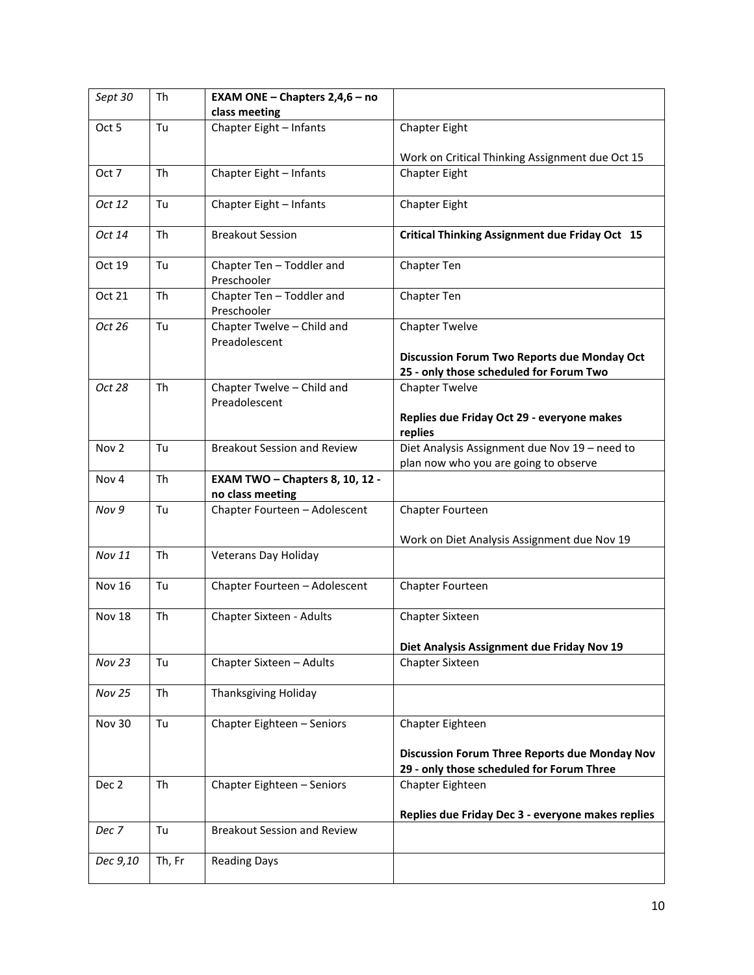| Sept 30          | Th     | <b>EXAM ONE - Chapters <math>2,4,6 -</math> no</b><br>class meeting |                                                                                                   |
|------------------|--------|---------------------------------------------------------------------|---------------------------------------------------------------------------------------------------|
| Oct 5            | Tu     | Chapter Eight - Infants                                             | Chapter Eight                                                                                     |
|                  |        |                                                                     |                                                                                                   |
|                  |        |                                                                     | Work on Critical Thinking Assignment due Oct 15                                                   |
| Oct 7            | Th     | Chapter Eight - Infants                                             | Chapter Eight                                                                                     |
| Oct 12           | Tu     | Chapter Eight - Infants                                             | Chapter Eight                                                                                     |
| Oct 14           | Th     | <b>Breakout Session</b>                                             | Critical Thinking Assignment due Friday Oct 15                                                    |
| Oct 19           | Tu     | Chapter Ten - Toddler and<br>Preschooler                            | Chapter Ten                                                                                       |
| Oct 21           | Th     | Chapter Ten - Toddler and<br>Preschooler                            | Chapter Ten                                                                                       |
| Oct 26           | Tu     | Chapter Twelve - Child and<br>Preadolescent                         | <b>Chapter Twelve</b>                                                                             |
|                  |        |                                                                     | <b>Discussion Forum Two Reports due Monday Oct</b><br>25 - only those scheduled for Forum Two     |
| Oct 28           | Th     | Chapter Twelve - Child and                                          | <b>Chapter Twelve</b>                                                                             |
|                  |        | Preadolescent                                                       | Replies due Friday Oct 29 - everyone makes<br>replies                                             |
| Nov <sub>2</sub> | Tu     | <b>Breakout Session and Review</b>                                  | Diet Analysis Assignment due Nov 19 - need to<br>plan now who you are going to observe            |
| Nov <sub>4</sub> | Th     | EXAM TWO - Chapters 8, 10, 12 -<br>no class meeting                 |                                                                                                   |
| Nov 9            | Tu     | Chapter Fourteen - Adolescent                                       | Chapter Fourteen                                                                                  |
|                  |        |                                                                     | Work on Diet Analysis Assignment due Nov 19                                                       |
| <b>Nov 11</b>    | Th     | Veterans Day Holiday                                                |                                                                                                   |
| <b>Nov 16</b>    | Tu     | Chapter Fourteen - Adolescent                                       | Chapter Fourteen                                                                                  |
| <b>Nov 18</b>    | Th     | Chapter Sixteen - Adults                                            | Chapter Sixteen                                                                                   |
|                  |        |                                                                     | Diet Analysis Assignment due Friday Nov 19                                                        |
| Nov 23           | Tu     | Chapter Sixteen - Adults                                            | Chapter Sixteen                                                                                   |
| <b>Nov 25</b>    | Th     | <b>Thanksgiving Holiday</b>                                         |                                                                                                   |
| <b>Nov 30</b>    | Tu     | Chapter Eighteen - Seniors                                          | Chapter Eighteen                                                                                  |
|                  |        |                                                                     | <b>Discussion Forum Three Reports due Monday Nov</b><br>29 - only those scheduled for Forum Three |
| Dec 2            | Th     | Chapter Eighteen - Seniors                                          | Chapter Eighteen                                                                                  |
|                  |        |                                                                     | Replies due Friday Dec 3 - everyone makes replies                                                 |
| Dec 7            | Tu     | <b>Breakout Session and Review</b>                                  |                                                                                                   |
| Dec 9,10         | Th, Fr | <b>Reading Days</b>                                                 |                                                                                                   |